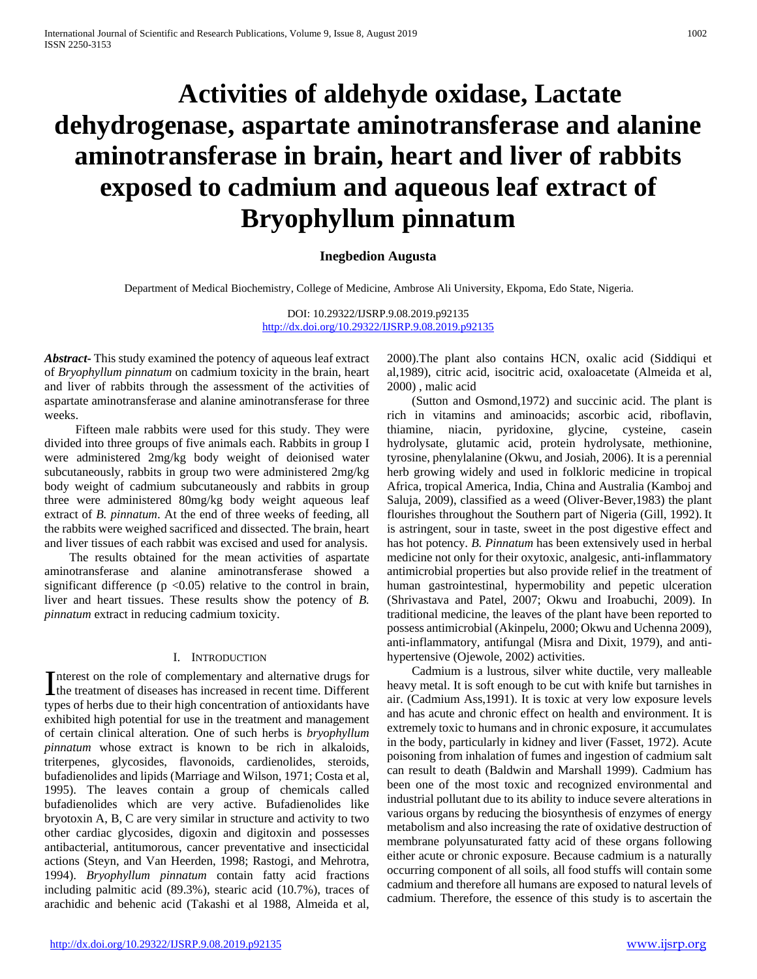# **Activities of aldehyde oxidase, Lactate dehydrogenase, aspartate aminotransferase and alanine aminotransferase in brain, heart and liver of rabbits exposed to cadmium and aqueous leaf extract of Bryophyllum pinnatum**

### **Inegbedion Augusta**

Department of Medical Biochemistry, College of Medicine, Ambrose Ali University, Ekpoma, Edo State, Nigeria.

DOI: 10.29322/IJSRP.9.08.2019.p92135 <http://dx.doi.org/10.29322/IJSRP.9.08.2019.p92135>

*Abstract***-** This study examined the potency of aqueous leaf extract of *Bryophyllum pinnatum* on cadmium toxicity in the brain, heart and liver of rabbits through the assessment of the activities of aspartate aminotransferase and alanine aminotransferase for three weeks.

 Fifteen male rabbits were used for this study. They were divided into three groups of five animals each. Rabbits in group I were administered 2mg/kg body weight of deionised water subcutaneously, rabbits in group two were administered 2mg/kg body weight of cadmium subcutaneously and rabbits in group three were administered 80mg/kg body weight aqueous leaf extract of *B. pinnatum*. At the end of three weeks of feeding, all the rabbits were weighed sacrificed and dissected. The brain, heart and liver tissues of each rabbit was excised and used for analysis.

 The results obtained for the mean activities of aspartate aminotransferase and alanine aminotransferase showed a significant difference ( $p < 0.05$ ) relative to the control in brain, liver and heart tissues. These results show the potency of *B. pinnatum* extract in reducing cadmium toxicity.

#### I. INTRODUCTION

Interest on the role of complementary and alternative drugs for Interest on the role of complementary and alternative drugs for the treatment of diseases has increased in recent time. Different types of herbs due to their high concentration of antioxidants have exhibited high potential for use in the treatment and management of certain clinical alteration*.* One of such herbs is *bryophyllum pinnatum* whose extract is known to be rich in alkaloids, triterpenes, glycosides, flavonoids, cardienolides, steroids, bufadienolides and lipids (Marriage and Wilson, 1971; Costa et al, 1995). The leaves contain a group of chemicals called bufadienolides which are very active. Bufadienolides like bryotoxin A, B, C are very similar in structure and activity to two other cardiac glycosides, digoxin and digitoxin and possesses antibacterial, antitumorous, cancer preventative and insecticidal actions (Steyn, and Van Heerden, 1998; Rastogi, and Mehrotra, 1994). *Bryophyllum pinnatum* contain fatty acid fractions including palmitic acid (89.3%), stearic acid (10.7%), traces of arachidic and behenic acid (Takashi et al 1988, Almeida et al,

2000).The plant also contains HCN, oxalic acid (Siddiqui et al,1989), citric acid, isocitric acid, oxaloacetate (Almeida et al, 2000) , malic acid

 (Sutton and Osmond,1972) and succinic acid. The plant is rich in vitamins and aminoacids; ascorbic acid, riboflavin, thiamine, niacin, pyridoxine, glycine, cysteine, casein hydrolysate, glutamic acid, protein hydrolysate, methionine, tyrosine, phenylalanine (Okwu, and Josiah, 2006). It is a perennial herb growing widely and used in folkloric medicine in tropical Africa, tropical America, India, China and Australia (Kamboj and Saluja, 2009), classified as a weed (Oliver-Bever,1983) the plant flourishes throughout the Southern part of Nigeria (Gill, 1992). It is astringent, sour in taste, sweet in the post digestive effect and has hot potency. *B. Pinnatum* has been extensively used in herbal medicine not only for their oxytoxic, analgesic, anti-inflammatory antimicrobial properties but also provide relief in the treatment of human gastrointestinal, hypermobility and pepetic ulceration (Shrivastava and Patel, 2007; Okwu and Iroabuchi, 2009). In traditional medicine, the leaves of the plant have been reported to possess antimicrobial (Akinpelu, 2000; Okwu and Uchenna 2009), anti-inflammatory, antifungal (Misra and Dixit, 1979), and antihypertensive (Ojewole, 2002) activities.

 Cadmium is a lustrous, silver white ductile, very malleable heavy metal. It is soft enough to be cut with knife but tarnishes in air. (Cadmium Ass,1991). It is toxic at very low exposure levels and has acute and chronic effect on health and environment. It is extremely toxic to humans and in chronic exposure, it accumulates in the body, particularly in kidney and liver (Fasset, 1972). Acute poisoning from inhalation of fumes and ingestion of cadmium salt can result to death (Baldwin and Marshall 1999). Cadmium has been one of the most toxic and recognized environmental and industrial pollutant due to its ability to induce severe alterations in various organs by reducing the biosynthesis of enzymes of energy metabolism and also increasing the rate of oxidative destruction of membrane polyunsaturated fatty acid of these organs following either acute or chronic exposure. Because cadmium is a naturally occurring component of all soils, all food stuffs will contain some cadmium and therefore all humans are exposed to natural levels of cadmium. Therefore, the essence of this study is to ascertain the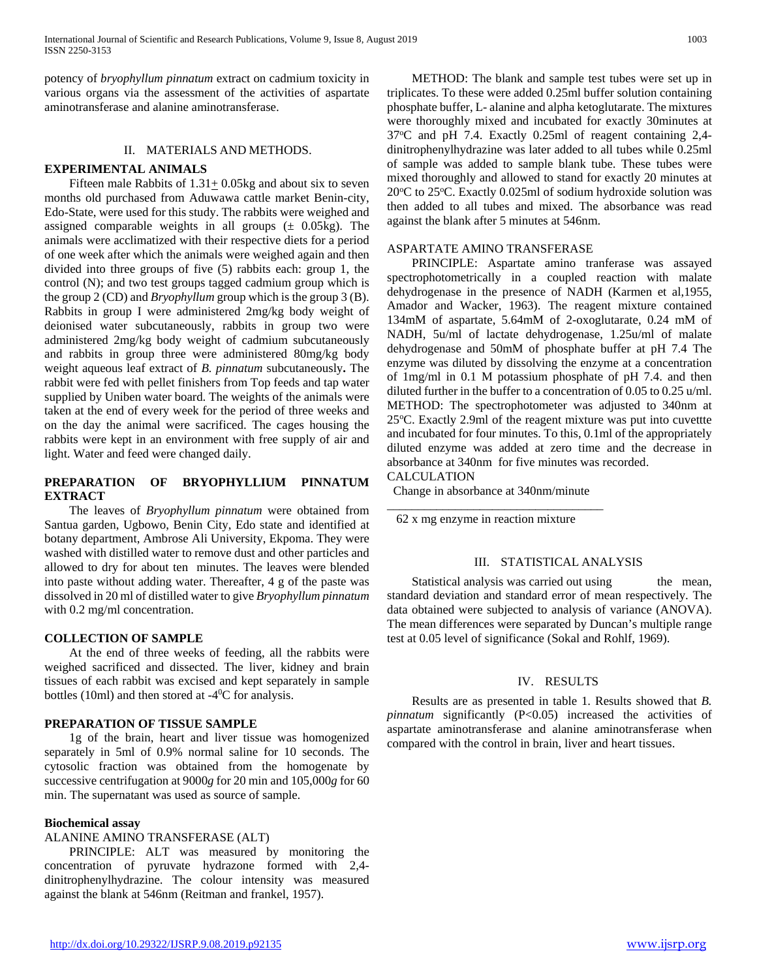potency of *bryophyllum pinnatum* extract on cadmium toxicity in various organs via the assessment of the activities of aspartate aminotransferase and alanine aminotransferase.

## II. MATERIALS AND METHODS.

## **EXPERIMENTAL ANIMALS**

Fifteen male Rabbits of  $1.31 \pm 0.05$ kg and about six to seven months old purchased from Aduwawa cattle market Benin-city, Edo-State, were used for this study. The rabbits were weighed and assigned comparable weights in all groups  $(\pm 0.05 \text{kg})$ . The animals were acclimatized with their respective diets for a period of one week after which the animals were weighed again and then divided into three groups of five (5) rabbits each: group 1, the control (N); and two test groups tagged cadmium group which is the group 2 (CD) and *Bryophyllum* group which is the group 3 (B). Rabbits in group I were administered 2mg/kg body weight of deionised water subcutaneously, rabbits in group two were administered 2mg/kg body weight of cadmium subcutaneously and rabbits in group three were administered 80mg/kg body weight aqueous leaf extract of *B. pinnatum* subcutaneously**.** The rabbit were fed with pellet finishers from Top feeds and tap water supplied by Uniben water board. The weights of the animals were taken at the end of every week for the period of three weeks and on the day the animal were sacrificed. The cages housing the rabbits were kept in an environment with free supply of air and light. Water and feed were changed daily.

## **PREPARATION OF BRYOPHYLLIUM PINNATUM EXTRACT**

 The leaves of *Bryophyllum pinnatum* were obtained from Santua garden, Ugbowo, Benin City, Edo state and identified at botany department, Ambrose Ali University, Ekpoma. They were washed with distilled water to remove dust and other particles and allowed to dry for about ten minutes. The leaves were blended into paste without adding water. Thereafter, 4 g of the paste was dissolved in 20 ml of distilled water to give *Bryophyllum pinnatum* with 0.2 mg/ml concentration.

## **COLLECTION OF SAMPLE**

 At the end of three weeks of feeding, all the rabbits were weighed sacrificed and dissected. The liver, kidney and brain tissues of each rabbit was excised and kept separately in sample bottles (10ml) and then stored at  $-4^0C$  for analysis.

## **PREPARATION OF TISSUE SAMPLE**

 1g of the brain, heart and liver tissue was homogenized separately in 5ml of 0.9% normal saline for 10 seconds. The cytosolic fraction was obtained from the homogenate by successive centrifugation at 9000*g* for 20 min and 105,000*g* for 60 min. The supernatant was used as source of sample.

#### **Biochemical assay**

## ALANINE AMINO TRANSFERASE (ALT)

 PRINCIPLE: ALT was measured by monitoring the concentration of pyruvate hydrazone formed with 2,4 dinitrophenylhydrazine. The colour intensity was measured against the blank at 546nm (Reitman and frankel, 1957).

 METHOD: The blank and sample test tubes were set up in triplicates. To these were added 0.25ml buffer solution containing phosphate buffer, L- alanine and alpha ketoglutarate. The mixtures were thoroughly mixed and incubated for exactly 30minutes at 37°C and pH 7.4. Exactly 0.25ml of reagent containing 2,4dinitrophenylhydrazine was later added to all tubes while 0.25ml of sample was added to sample blank tube. These tubes were mixed thoroughly and allowed to stand for exactly 20 minutes at 20°C to 25°C. Exactly 0.025ml of sodium hydroxide solution was then added to all tubes and mixed. The absorbance was read against the blank after 5 minutes at 546nm.

### ASPARTATE AMINO TRANSFERASE

 PRINCIPLE: Aspartate amino tranferase was assayed spectrophotometrically in a coupled reaction with malate dehydrogenase in the presence of NADH (Karmen et al,1955, Amador and Wacker, 1963). The reagent mixture contained 134mM of aspartate, 5.64mM of 2-oxoglutarate, 0.24 mM of NADH, 5u/ml of lactate dehydrogenase, 1.25u/ml of malate dehydrogenase and 50mM of phosphate buffer at pH 7.4 The enzyme was diluted by dissolving the enzyme at a concentration of 1mg/ml in 0.1 M potassium phosphate of pH 7.4. and then diluted further in the buffer to a concentration of 0.05 to 0.25 u/ml. METHOD: The spectrophotometer was adjusted to 340nm at 25°C. Exactly 2.9ml of the reagent mixture was put into cuvettte and incubated for four minutes. To this, 0.1ml of the appropriately diluted enzyme was added at zero time and the decrease in absorbance at 340nm for five minutes was recorded.

# CALCULATION

 Change in absorbance at 340nm/minute \_\_\_\_\_\_\_\_\_\_\_\_\_\_\_\_\_\_\_\_\_\_\_\_\_\_\_\_\_\_\_\_\_\_\_

62 x mg enzyme in reaction mixture

### III. STATISTICAL ANALYSIS

Statistical analysis was carried out using the mean, standard deviation and standard error of mean respectively. The data obtained were subjected to analysis of variance (ANOVA). The mean differences were separated by Duncan's multiple range test at 0.05 level of significance (Sokal and Rohlf, 1969).

### IV. RESULTS

 Results are as presented in table 1. Results showed that *B. pinnatum* significantly (P<0.05) increased the activities of aspartate aminotransferase and alanine aminotransferase when compared with the control in brain, liver and heart tissues.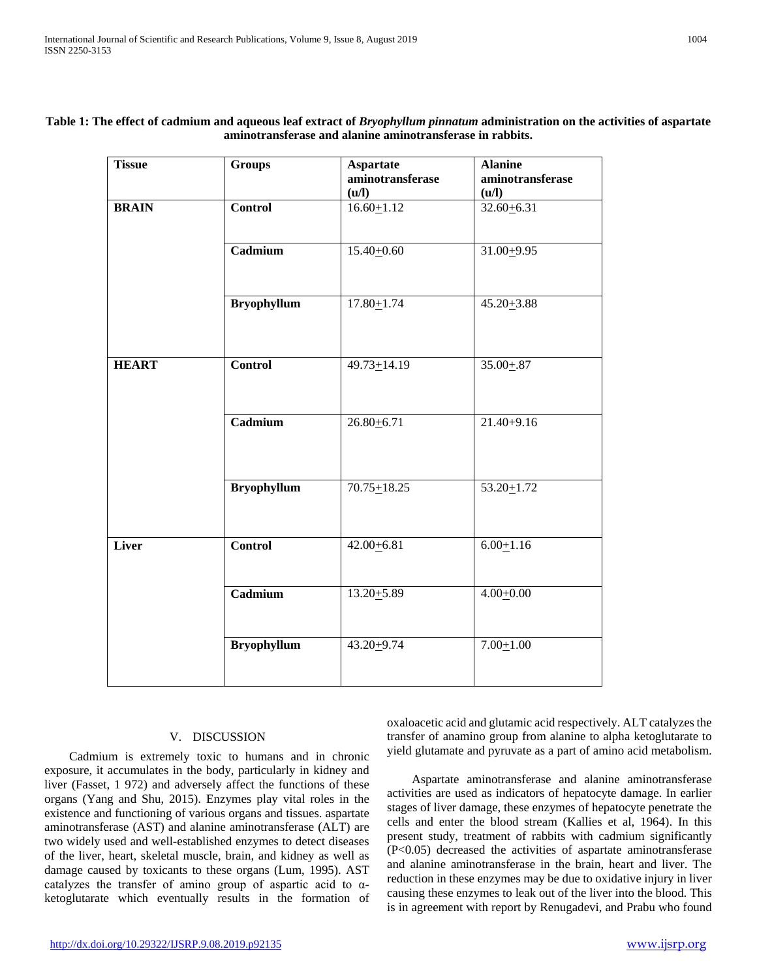| <b>Tissue</b> | <b>Groups</b>      | <b>Aspartate</b><br>aminotransferase<br>(u/l) | <b>Alanine</b><br>aminotransferase<br>(u/l) |
|---------------|--------------------|-----------------------------------------------|---------------------------------------------|
| <b>BRAIN</b>  | <b>Control</b>     | $16.60 \pm 1.12$                              | $32.60 + 6.31$                              |
|               | Cadmium            | $15.40 + 0.60$                                | $31.00 + 9.95$                              |
|               | <b>Bryophyllum</b> | $17.80 + 1.74$                                | $45.20 + 3.88$                              |
| <b>HEART</b>  | <b>Control</b>     | $49.73 + 14.19$                               | $35.00 + .87$                               |
|               | Cadmium            | $26.80 + 6.71$                                | $21.40 + 9.16$                              |
|               | <b>Bryophyllum</b> | $70.75 + 18.25$                               | $53.20 + 1.72$                              |
| Liver         | Control            | $42.00 + 6.81$                                | $6.00 + 1.16$                               |
|               | Cadmium            | $13.20 + 5.89$                                | $4.00 + 0.00$                               |
|               | <b>Bryophyllum</b> | 43.20+9.74                                    | $7.00 + 1.00$                               |

## **Table 1: The effect of cadmium and aqueous leaf extract of** *Bryophyllum pinnatum* **administration on the activities of aspartate aminotransferase and alanine aminotransferase in rabbits.**

## V. DISCUSSION

 Cadmium is extremely toxic to humans and in chronic exposure, it accumulates in the body, particularly in kidney and liver (Fasset, 1 972) and adversely affect the functions of these organs (Yang and Shu, 2015). Enzymes play vital roles in the existence and functioning of various organs and tissues. aspartate aminotransferase (AST) and alanine aminotransferase (ALT) are two widely used and well-established enzymes to detect diseases of the liver, heart, skeletal muscle, brain, and kidney as well as damage caused by toxicants to these organs (Lum, 1995). AST catalyzes the transfer of amino group of aspartic acid to αketoglutarate which eventually results in the formation of

oxaloacetic acid and glutamic acid respectively. ALT catalyzes the transfer of anamino group from alanine to alpha ketoglutarate to yield glutamate and pyruvate as a part of amino acid metabolism.

 Aspartate aminotransferase and alanine aminotransferase activities are used as indicators of hepatocyte damage. In earlier stages of liver damage, these enzymes of hepatocyte penetrate the cells and enter the blood stream (Kallies et al, 1964). In this present study, treatment of rabbits with cadmium significantly (P<0.05) decreased the activities of aspartate aminotransferase and alanine aminotransferase in the brain, heart and liver. The reduction in these enzymes may be due to oxidative injury in liver causing these enzymes to leak out of the liver into the blood. This is in agreement with report by Renugadevi, and Prabu who found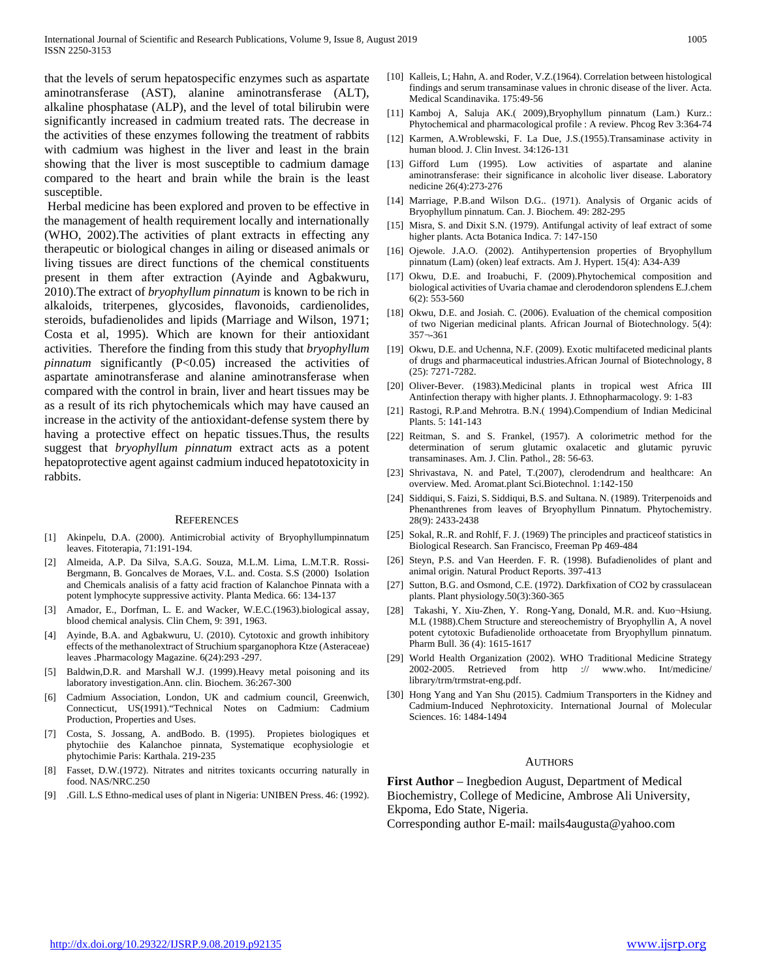that the levels of serum hepatospecific enzymes such as aspartate aminotransferase (AST), alanine aminotransferase (ALT), alkaline phosphatase (ALP), and the level of total bilirubin were significantly increased in cadmium treated rats. The decrease in the activities of these enzymes following the treatment of rabbits with cadmium was highest in the liver and least in the brain showing that the liver is most susceptible to cadmium damage compared to the heart and brain while the brain is the least susceptible.

Herbal medicine has been explored and proven to be effective in the management of health requirement locally and internationally (WHO, 2002).The activities of plant extracts in effecting any therapeutic or biological changes in ailing or diseased animals or living tissues are direct functions of the chemical constituents present in them after extraction (Ayinde and Agbakwuru, 2010).The extract of *bryophyllum pinnatum* is known to be rich in alkaloids, triterpenes, glycosides, flavonoids, cardienolides, steroids, bufadienolides and lipids (Marriage and Wilson, 1971; Costa et al, 1995). Which are known for their antioxidant activities. Therefore the finding from this study that *bryophyllum pinnatum* significantly (P<0.05) increased the activities of aspartate aminotransferase and alanine aminotransferase when compared with the control in brain, liver and heart tissues may be as a result of its rich phytochemicals which may have caused an increase in the activity of the antioxidant-defense system there by having a protective effect on hepatic tissues.Thus, the results suggest that *bryophyllum pinnatum* extract acts as a potent hepatoprotective agent against cadmium induced hepatotoxicity in rabbits.

#### **REFERENCES**

- [1] Akinpelu, D.A. (2000). Antimicrobial activity of Bryophyllumpinnatum leaves. Fitoterapia, 71:191-194.
- [2] Almeida, A.P. Da Silva, S.A.G. Souza, M.L.M. Lima, L.M.T.R. Rossi-Bergmann, B. Goncalves de Moraes, V.L. and. Costa. S.S (2000) Isolation and Chemicals analisis of a fatty acid fraction of Kalanchoe Pinnata with a potent lymphocyte suppressive activity. Planta Medica. 66: 134-137
- [3] Amador, E., Dorfman, L. E. and Wacker, W.E.C.(1963).biological assay, blood chemical analysis. Clin Chem, 9: 391, 1963.
- Ayinde, B.A. and Agbakwuru, U. (2010). Cytotoxic and growth inhibitory effects of the methanolextract of Struchium sparganophora Ktze (Asteraceae) leaves .Pharmacology Magazine. 6(24):293 -297.
- [5] Baldwin,D.R. and Marshall W.J. (1999).Heavy metal poisoning and its laboratory investigation.Ann. clin. Biochem. 36:267-300
- [6] Cadmium Association, London, UK and cadmium council, Greenwich, Connecticut, US(1991)."Technical Notes on Cadmium: Cadmium Production, Properties and Uses.
- [7] Costa, S. Jossang, A. andBodo. B. (1995). Propietes biologiques et phytochiie des Kalanchoe pinnata, Systematique ecophysiologie et phytochimie Paris: Karthala. 219-235
- [8] Fasset, D.W.(1972). Nitrates and nitrites toxicants occurring naturally in food. NAS/NRC.250
- [9] .Gill. L.S Ethno-medical uses of plant in Nigeria: UNIBEN Press. 46: (1992).
- [10] Kalleis, L; Hahn, A. and Roder, V.Z.(1964). Correlation between histological findings and serum transaminase values in chronic disease of the liver. Acta. Medical Scandinavika. 175:49-56
- [11] Kamboj A, Saluja AK.( 2009),Bryophyllum pinnatum (Lam.) Kurz.: Phytochemical and pharmacological profile : A review. Phcog Rev 3:364-74
- [12] Karmen, A.Wroblewski, F. La Due, J.S.(1955).Transaminase activity in human blood. J. Clin Invest. 34:126-131
- [13] Gifford Lum (1995). Low activities of aspartate and alanine aminotransferase: their significance in alcoholic liver disease. Laboratory nedicine 26(4):273-276
- [14] Marriage, P.B.and Wilson D.G.. (1971). Analysis of Organic acids of Bryophyllum pinnatum. Can. J. Biochem. 49: 282-295
- [15] Misra, S. and Dixit S.N. (1979). Antifungal activity of leaf extract of some higher plants. Acta Botanica Indica. 7: 147-150
- [16] Ojewole. J.A.O. (2002). Antihypertension properties of Bryophyllum pinnatum (Lam) (oken) leaf extracts. Am J. Hypert. 15(4): A34-A39
- [17] Okwu, D.E. and Iroabuchi, F. (2009).Phytochemical composition and biological activities of Uvaria chamae and clerodendoron splendens E.J.chem 6(2): 553-560
- [18] Okwu, D.E. and Josiah. C. (2006). Evaluation of the chemical composition of two Nigerian medicinal plants. African Journal of Biotechnology. 5(4): 357¬-361
- [19] Okwu, D.E. and Uchenna, N.F. (2009). Exotic multifaceted medicinal plants of drugs and pharmaceutical industries.African Journal of Biotechnology, 8 (25): 7271-7282.
- [20] Oliver-Bever. (1983).Medicinal plants in tropical west Africa III Antinfection therapy with higher plants. J. Ethnopharmacology. 9: 1-83
- [21] Rastogi, R.P.and Mehrotra. B.N.( 1994).Compendium of Indian Medicinal Plants. 5: 141-143
- [22] Reitman, S. and S. Frankel, (1957). A colorimetric method for the determination of serum glutamic oxalacetic and glutamic pyruvic transaminases. Am. J. Clin. Pathol., 28: 56-63.
- [23] Shrivastava, N. and Patel, T.(2007), clerodendrum and healthcare: An overview. Med. Aromat.plant Sci.Biotechnol. 1:142-150
- [24] Siddiqui, S. Faizi, S. Siddiqui, B.S. and Sultana. N. (1989). Triterpenoids and Phenanthrenes from leaves of Bryophyllum Pinnatum. Phytochemistry. 28(9): 2433-2438
- [25] Sokal, R..R. and Rohlf, F. J. (1969) The principles and practice of statistics in Biological Research. San Francisco, Freeman Pp 469-484
- [26] Steyn, P.S. and Van Heerden. F. R. (1998). Bufadienolides of plant and animal origin. Natural Product Reports. 397-413
- [27] Sutton, B.G. and Osmond, C.E. (1972). Darkfixation of CO2 by crassulacean plants. Plant physiology.50(3):360-365
- [28] Takashi, Y. Xiu-Zhen, Y. Rong-Yang, Donald, M.R. and. Kuo¬Hsiung. M.L (1988).Chem Structure and stereochemistry of Bryophyllin A, A novel potent cytotoxic Bufadienolide orthoacetate from Bryophyllum pinnatum. Pharm Bull. 36 (4): 1615-1617
- [29] World Health Organization (2002). WHO Traditional Medicine Strategy 2002-2005. Retrieved from http :// www.who. Int/medicine/ library/trm/trmstrat-eng.pdf.
- [30] Hong Yang and Yan Shu (2015). Cadmium Transporters in the Kidney and Cadmium-Induced Nephrotoxicity. International Journal of Molecular Sciences. 16: 1484-1494

#### **AUTHORS**

**First Author** – Inegbedion August, Department of Medical Biochemistry, College of Medicine, Ambrose Ali University, Ekpoma, Edo State, Nigeria.

Corresponding author E-mail: mails4augusta@yahoo.com